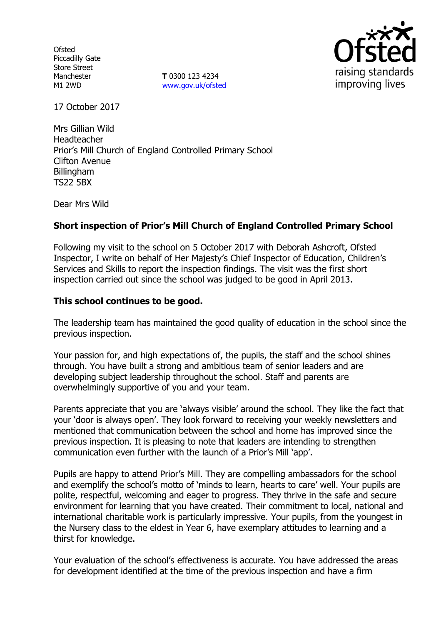**Ofsted** Piccadilly Gate Store Street Manchester M1 2WD

**T** 0300 123 4234 www.gov.uk/ofsted



17 October 2017

Mrs Gillian Wild Headteacher Prior's Mill Church of England Controlled Primary School Clifton Avenue Billingham TS22 5BX

Dear Mrs Wild

# **Short inspection of Prior's Mill Church of England Controlled Primary School**

Following my visit to the school on 5 October 2017 with Deborah Ashcroft, Ofsted Inspector, I write on behalf of Her Majesty's Chief Inspector of Education, Children's Services and Skills to report the inspection findings. The visit was the first short inspection carried out since the school was judged to be good in April 2013.

### **This school continues to be good.**

The leadership team has maintained the good quality of education in the school since the previous inspection.

Your passion for, and high expectations of, the pupils, the staff and the school shines through. You have built a strong and ambitious team of senior leaders and are developing subject leadership throughout the school. Staff and parents are overwhelmingly supportive of you and your team.

Parents appreciate that you are 'always visible' around the school. They like the fact that your 'door is always open'. They look forward to receiving your weekly newsletters and mentioned that communication between the school and home has improved since the previous inspection. It is pleasing to note that leaders are intending to strengthen communication even further with the launch of a Prior's Mill 'app'.

Pupils are happy to attend Prior's Mill. They are compelling ambassadors for the school and exemplify the school's motto of 'minds to learn, hearts to care' well. Your pupils are polite, respectful, welcoming and eager to progress. They thrive in the safe and secure environment for learning that you have created. Their commitment to local, national and international charitable work is particularly impressive. Your pupils, from the youngest in the Nursery class to the eldest in Year 6, have exemplary attitudes to learning and a thirst for knowledge.

Your evaluation of the school's effectiveness is accurate. You have addressed the areas for development identified at the time of the previous inspection and have a firm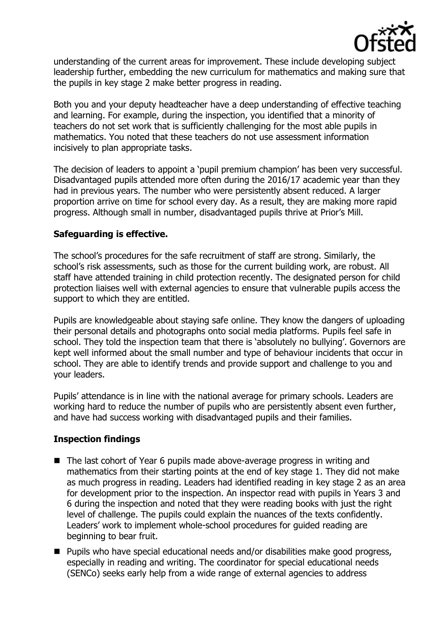

understanding of the current areas for improvement. These include developing subject leadership further, embedding the new curriculum for mathematics and making sure that the pupils in key stage 2 make better progress in reading.

Both you and your deputy headteacher have a deep understanding of effective teaching and learning. For example, during the inspection, you identified that a minority of teachers do not set work that is sufficiently challenging for the most able pupils in mathematics. You noted that these teachers do not use assessment information incisively to plan appropriate tasks.

The decision of leaders to appoint a 'pupil premium champion' has been very successful. Disadvantaged pupils attended more often during the 2016/17 academic year than they had in previous years. The number who were persistently absent reduced. A larger proportion arrive on time for school every day. As a result, they are making more rapid progress. Although small in number, disadvantaged pupils thrive at Prior's Mill.

# **Safeguarding is effective.**

The school's procedures for the safe recruitment of staff are strong. Similarly, the school's risk assessments, such as those for the current building work, are robust. All staff have attended training in child protection recently. The designated person for child protection liaises well with external agencies to ensure that vulnerable pupils access the support to which they are entitled.

Pupils are knowledgeable about staying safe online. They know the dangers of uploading their personal details and photographs onto social media platforms. Pupils feel safe in school. They told the inspection team that there is 'absolutely no bullying'. Governors are kept well informed about the small number and type of behaviour incidents that occur in school. They are able to identify trends and provide support and challenge to you and your leaders.

Pupils' attendance is in line with the national average for primary schools. Leaders are working hard to reduce the number of pupils who are persistently absent even further, and have had success working with disadvantaged pupils and their families.

# **Inspection findings**

- The last cohort of Year 6 pupils made above-average progress in writing and mathematics from their starting points at the end of key stage 1. They did not make as much progress in reading. Leaders had identified reading in key stage 2 as an area for development prior to the inspection. An inspector read with pupils in Years 3 and 6 during the inspection and noted that they were reading books with just the right level of challenge. The pupils could explain the nuances of the texts confidently. Leaders' work to implement whole-school procedures for guided reading are beginning to bear fruit.
- Pupils who have special educational needs and/or disabilities make good progress, especially in reading and writing. The coordinator for special educational needs (SENCo) seeks early help from a wide range of external agencies to address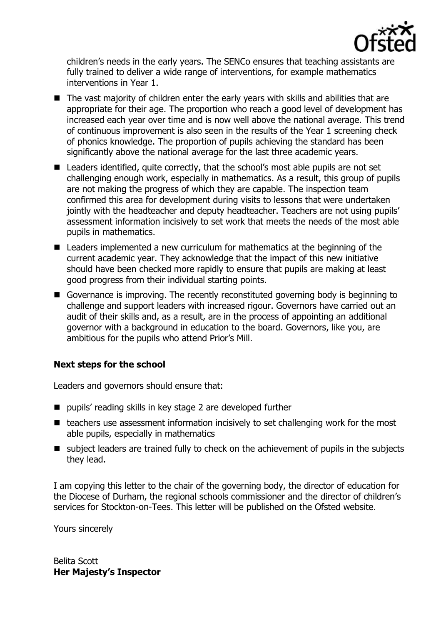

children's needs in the early years. The SENCo ensures that teaching assistants are fully trained to deliver a wide range of interventions, for example mathematics interventions in Year 1.

- The vast majority of children enter the early years with skills and abilities that are appropriate for their age. The proportion who reach a good level of development has increased each year over time and is now well above the national average. This trend of continuous improvement is also seen in the results of the Year 1 screening check of phonics knowledge. The proportion of pupils achieving the standard has been significantly above the national average for the last three academic years.
- Leaders identified, quite correctly, that the school's most able pupils are not set challenging enough work, especially in mathematics. As a result, this group of pupils are not making the progress of which they are capable. The inspection team confirmed this area for development during visits to lessons that were undertaken jointly with the headteacher and deputy headteacher. Teachers are not using pupils' assessment information incisively to set work that meets the needs of the most able pupils in mathematics.
- Leaders implemented a new curriculum for mathematics at the beginning of the current academic year. They acknowledge that the impact of this new initiative should have been checked more rapidly to ensure that pupils are making at least good progress from their individual starting points.
- Governance is improving. The recently reconstituted governing body is beginning to challenge and support leaders with increased rigour. Governors have carried out an audit of their skills and, as a result, are in the process of appointing an additional governor with a background in education to the board. Governors, like you, are ambitious for the pupils who attend Prior's Mill.

# **Next steps for the school**

Leaders and governors should ensure that:

- pupils' reading skills in key stage 2 are developed further
- $\blacksquare$  teachers use assessment information incisively to set challenging work for the most able pupils, especially in mathematics
- subject leaders are trained fully to check on the achievement of pupils in the subjects they lead.

I am copying this letter to the chair of the governing body, the director of education for the Diocese of Durham, the regional schools commissioner and the director of children's services for Stockton-on-Tees. This letter will be published on the Ofsted website.

Yours sincerely

Belita Scott **Her Majesty's Inspector**